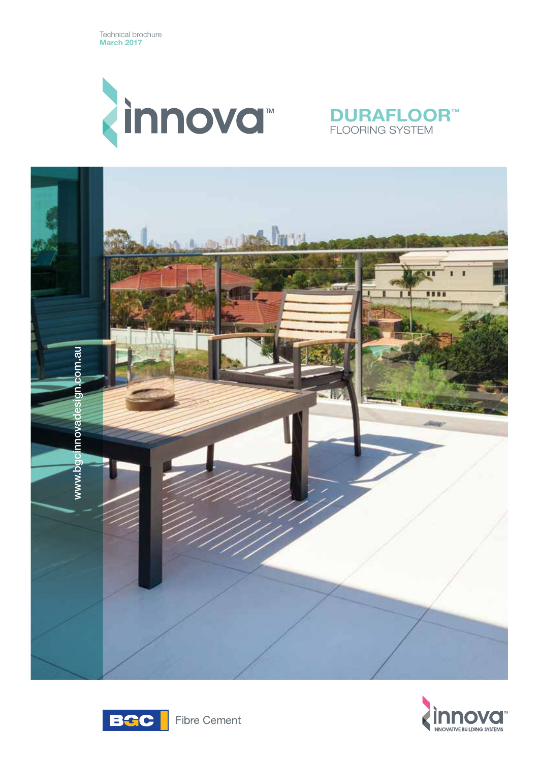

# **DURAFLOOR™** FLOORING SYSTEM







**Fibre Cement**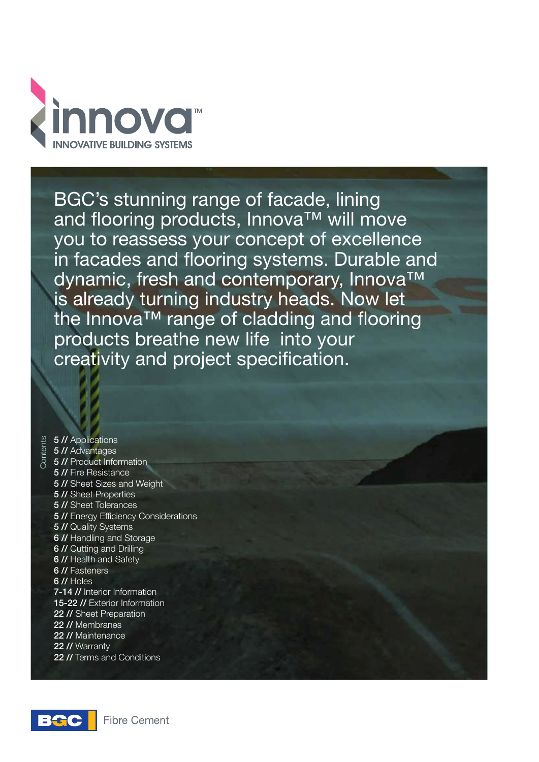

BGC's stunning range of facade, lining and flooring products, Innova™ will move you to reassess your concept of excellence in facades and flooring systems. Durable and dynamic, fresh and contemporary, Innova™ is already turning industry heads. Now let the Innova™ range of cladding and flooring products breathe new life into your creativity and project specification.

Contents **5 // Applications** 5 // Advantages 5 // Product Information 5 // Fire Resistance 5 // Sheet Sizes and Weight 5 // Sheet Properties 5 // Sheet Tolerances 5 // Energy Efficiency Considerations 5 // Quality Systems 6 // Handling and Storage 6 // Cutting and Drilling 6 // Health and Safety 6 // Fasteners 6 // Holes 7-14 // Interior Information 15-22 // Exterior Information 22 // Sheet Preparation 22 // Membranes 22 // Maintenance 22 // Warranty 22 // Terms and Conditions

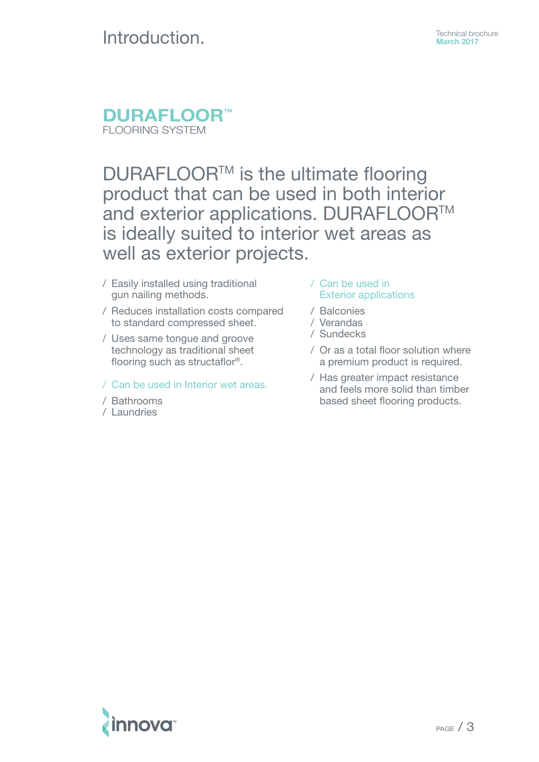# **Introduction.** Technical brochure

# **DURAFLOOR™** FLOORING SYSTEM

# DURAFLOOR<sup>™</sup> is the ultimate flooring product that can be used in both interior and exterior applications. DURAFLOOR™ is ideally suited to interior wet areas as well as exterior projects.

- / Easily installed using traditional gun nailing methods.
- / Reduces installation costs compared to standard compressed sheet.
- / Uses same tongue and groove technology as traditional sheet flooring such as structaflor®.
- / Can be used in Interior wet areas.
- / Bathrooms
- / Laundries
- / Can be used in Exterior applications
- / Balconies
- / Verandas
- / Sundecks
- / Or as a total floor solution where a premium product is required.
- / Has greater impact resistance and feels more solid than timber based sheet flooring products.

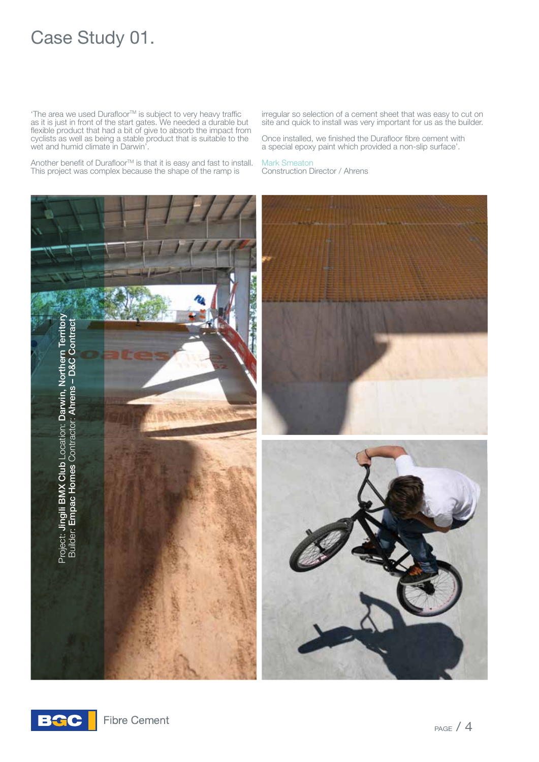# Case Study 01.

 $T$ he area we used Durafloor $T$ <sup>M</sup> is subject to very heavy traffic as it is just in front of the start gates. We needed a durable but flexible product that had a bit of give to absorb the impact from cyclists as well as being a stable product that is suitable to the wet and humid climate in Darwin'.

Another benefit of Durafloor<sup>™</sup> is that it is easy and fast to install. This project was complex because the shape of the ramp is

irregular so selection of a cement sheet that was easy to cut on site and quick to install was very important for us as the builder.

Once installed, we finished the Durafloor fibre cement with a special epoxy paint which provided a non-slip surface'.

#### Mark Smeaton Construction Director / Ahrens



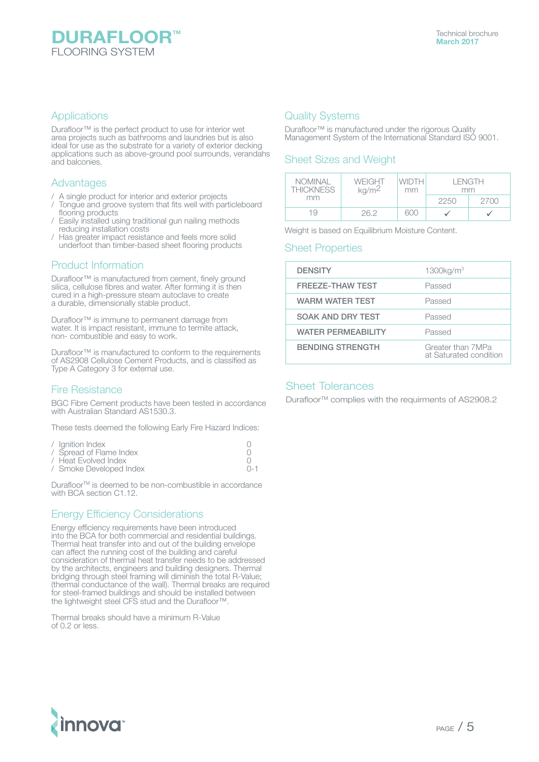#### **Applications**

Durafloor™ is the perfect product to use for interior wet area projects such as bathrooms and laundries but is also ideal for use as the substrate for a variety of exterior decking applications such as above-ground pool surrounds, verandahs and balconies.

#### Advantages

- / A single product for interior and exterior projects
- Tongue and groove system that fits well with particleboard flooring products
- / Easily installed using traditional gun nailing methods reducing installation costs
- / Has greater impact resistance and feels more solid underfoot than timber-based sheet flooring products

## Product Information

Durafloor™ is manufactured from cement, finely ground silica, cellulose fibres and water. After forming it is then cured in a high-pressure steam autoclave to create a durable, dimensionally stable product.

Durafloor™ is immune to permanent damage from water. It is impact resistant, immune to termite attack, non- combustible and easy to work.

Durafloor™ is manufactured to conform to the requirements of AS2908 Cellulose Cement Products, and is classified as Type A Category 3 for external use.

# Fire Resistance

BGC Fibre Cement products have been tested in accordance with Australian Standard AS1530.3.

These tests deemed the following Early Fire Hazard Indices:

| / Ignition Index        |          |
|-------------------------|----------|
| / Spread of Flame Index |          |
| / Heat Evolved Index    |          |
| / Smoke Developed Index | $() - 1$ |

Durafloor<sup>™</sup> is deemed to be non-combustible in accordance with BCA section C1.12.

# Energy Efficiency Considerations

Energy efficiency requirements have been introduced into the BCA for both commercial and residential buildings. Thermal heat transfer into and out of the building envelope can affect the running cost of the building and careful consideration of thermal heat transfer needs to be addressed by the architects, engineers and building designers. Thermal bridging through steel framing will diminish the total R-Value; (thermal conductance of the wall). Thermal breaks are required for steel-framed buildings and should be installed between the lightweight steel CFS stud and the Durafloor™.

Thermal breaks should have a minimum R-Value of 0.2 or less.

## Quality Systems

Durafloor™ is manufactured under the rigorous Quality Management System of the International Standard ISO 9001.

## Sheet Sizes and Weight

| <b>NOMINAL</b><br><b>THICKNESS</b> | WEIGHT<br>kg/m <sup>2</sup> | <b>WIDTH</b><br>mm | I FNGTH<br>mm |      |
|------------------------------------|-----------------------------|--------------------|---------------|------|
| mm                                 |                             |                    | 2250          | 2700 |
| 19                                 | 26.2                        | ദററ                |               |      |

Weight is based on Equilibrium Moisture Content.

#### Sheet Properties

| <b>DENSITY</b>            | 1300kg/m <sup>3</sup>                       |
|---------------------------|---------------------------------------------|
| <b>FREEZE-THAW TEST</b>   | Passed                                      |
| <b>WARM WATER TEST</b>    | Passed                                      |
| <b>SOAK AND DRY TEST</b>  | Passed                                      |
| <b>WATER PERMEABILITY</b> | Passed                                      |
| <b>BENDING STRENGTH</b>   | Greater than 7MPa<br>at Saturated condition |

### Sheet Tolerances

Durafloor<sup>™</sup> complies with the requirments of AS2908.2

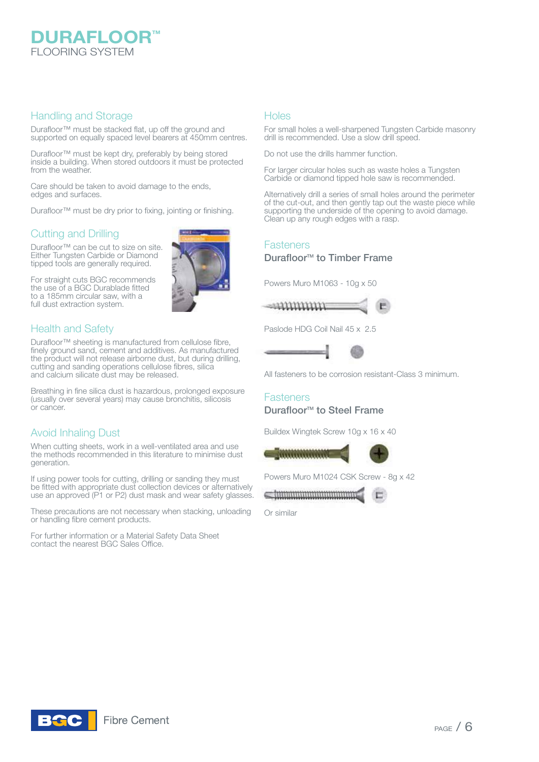

#### Handling and Storage

Durafloor™ must be stacked flat, up off the ground and supported on equally spaced level bearers at 450mm centres.

Durafloor™ must be kept dry, preferably by being stored inside a building. When stored outdoors it must be protected from the weather.

Care should be taken to avoid damage to the ends, edges and surfaces.

Durafloor™ must be dry prior to fixing, jointing or finishing.

# Cutting and Drilling

Durafloor™ can be cut to size on site. Either Tungsten Carbide or Diamond tipped tools are generally required.

For straight cuts BGC recommends the use of a BGC Durablade fitted to a 185mm circular saw, with a full dust extraction system.



Durafloor™ sheeting is manufactured from cellulose fibre, finely ground sand, cement and additives. As manufactured the product will not release airborne dust, but during drilling, cutting and sanding operations cellulose fibres, silica and calcium silicate dust may be released.

Breathing in fine silica dust is hazardous, prolonged exposure (usually over several years) may cause bronchitis, silicosis or cancer.

# Avoid Inhaling Dust

When cutting sheets, work in a well-ventilated area and use the methods recommended in this literature to minimise dust generation.

If using power tools for cutting, drilling or sanding they must be fitted with appropriate dust collection devices or alternatively use an approved (P1 or P2) dust mask and wear safety glasses.

These precautions are not necessary when stacking, unloading or handling fibre cement products.

For further information or a Material Safety Data Sheet contact the nearest BGC Sales Office.

#### **Holes**

For small holes a well-sharpened Tungsten Carbide masonry drill is recommended. Use a slow drill speed.

Do not use the drills hammer function.

For larger circular holes such as waste holes a Tungsten Carbide or diamond tipped hole saw is recommended.

Alternatively drill a series of small holes around the perimeter of the cut-out, and then gently tap out the waste piece while supporting the underside of the opening to avoid damage. Clean up any rough edges with a rasp.

### **Fasteners**

### Durafloor<sup>™</sup> to Timber Frame

Powers Muro M1063 - 10g x 50



Paslode HDG Coil Nail 45 x 2.5



All fasteners to be corrosion resistant-Class 3 minimum.

### **Fasteners** Durafloor<sup>™</sup> to Steel Frame

Buildex Wingtek Screw 10g x 16 x 40



Powers Muro M1024 CSK Screw - 8g x 42

Or similar

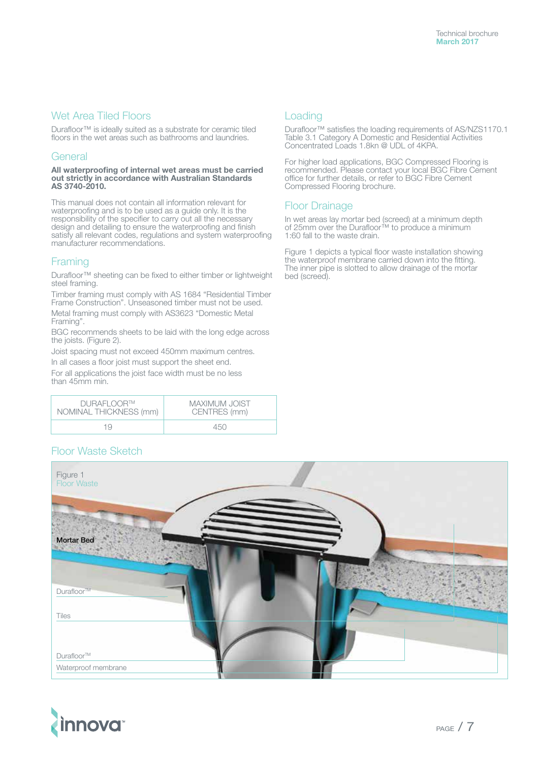### Wet Area Tiled Floors

Durafloor™ is ideally suited as a substrate for ceramic tiled floors in the wet areas such as bathrooms and laundries.

#### General

**All waterproofing of internal wet areas must be carried out strictly in accordance with Australian Standards AS 3740-2010.**

This manual does not contain all information relevant for waterproofing and is to be used as a guide only. It is the responsibility of the specifier to carry out all the necessary design and detailing to ensure the waterproofing and finish satisfy all relevant codes, regulations and system waterproofing manufacturer recommendations.

## Framing

Durafloor™ sheeting can be fixed to either timber or lightweight steel framing.

Timber framing must comply with AS 1684 "Residential Timber Frame Construction". Unseasoned timber must not be used. Metal framing must comply with AS3623 "Domestic Metal Framing".

BGC recommends sheets to be laid with the long edge across the joists. (Figure 2).

Joist spacing must not exceed 450mm maximum centres. In all cases a floor joist must support the sheet end.

For all applications the joist face width must be no less than 45mm min.

| DURAFLOOR™             | MAXIMUM JOIST |
|------------------------|---------------|
| NOMINAL THICKNESS (mm) | CENTRES (mm)  |
| 1 Q                    | 450           |

# Loading

Durafloor™ satisfies the loading requirements of AS/NZS1170.1 Table 3.1 Category A Domestic and Residential Activities Concentrated Loads 1.8kn @ UDL of 4KPA.

For higher load applications, BGC Compressed Flooring is recommended. Please contact your local BGC Fibre Cement office for further details, or refer to BGC Fibre Cement Compressed Flooring brochure.

## Floor Drainage

In wet areas lay mortar bed (screed) at a minimum depth of 25mm over the Durafloor™ to produce a minimum 1:60 fall to the waste drain.

Figure 1 depicts a typical floor waste installation showing the waterproof membrane carried down into the fitting. The inner pipe is slotted to allow drainage of the mortar bed (screed).

# Floor Waste Sketch



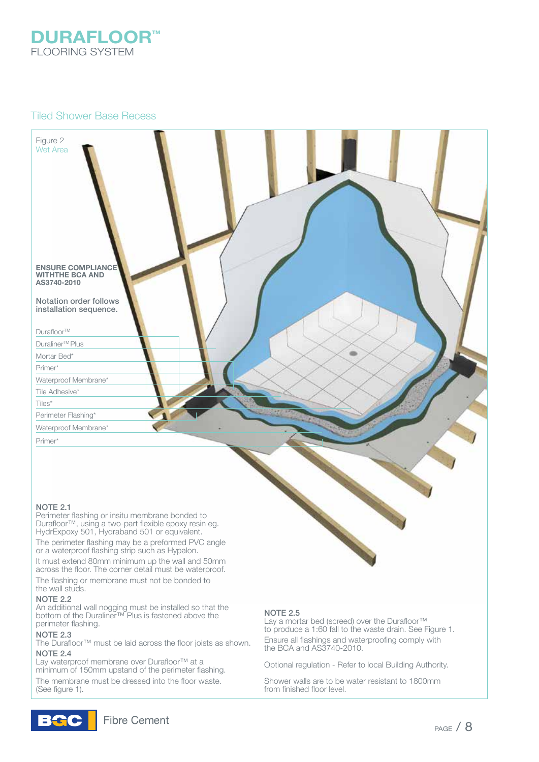

### Tiled Shower Base Recess



#### NOTE 2.1

Perimeter flashing or insitu membrane bonded to Durafloor™, using a two-part flexible epoxy resin eg. HydrExpoxy 501, Hydraband 501 or equivalent.

The perimeter flashing may be a preformed PVC angle or a waterproof flashing strip such as Hypalon.

It must extend 80mm minimum up the wall and 50mm across the floor. The corner detail must be waterproof.

The flashing or membrane must not be bonded to the wall studs.

#### NOTE 2.2

An additional wall nogging must be installed so that the bottom of the Duraliner™ Plus is fastened above the perimeter flashing.

#### NOTE 2.3

The Durafloor™ must be laid across the floor joists as shown. NOTE 2.4

Lay waterproof membrane over Durafloor™ at a minimum of 150mm upstand of the perimeter flashing. The membrane must be dressed into the floor waste. (See figure 1).

#### NOTE 2.5

Lay a mortar bed (screed) over the Durafloor™ to produce a 1:60 fall to the waste drain. See Figure 1. Ensure all flashings and waterproofing comply with the BCA and AS3740-2010.

Optional regulation - Refer to local Building Authority.

Shower walls are to be water resistant to 1800mm from finished floor level.

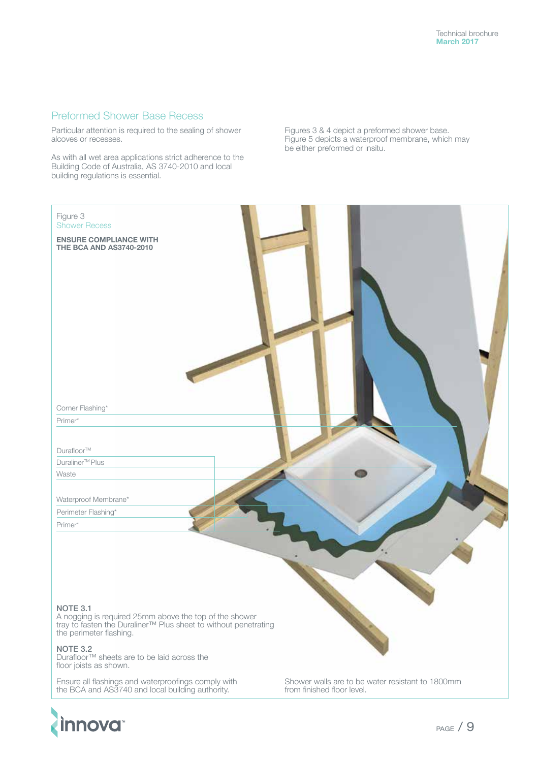## Preformed Shower Base Recess

Particular attention is required to the sealing of shower alcoves or recesses.

As with all wet area applications strict adherence to the Building Code of Australia, AS 3740-2010 and local building regulations is essential.

Figures 3 & 4 depict a preformed shower base. Figure 5 depicts a waterproof membrane, which may be either preformed or insitu.



from finished floor level.

Ensure all flashings and waterproofings comply with the BCA and AS3740 and local building authority.

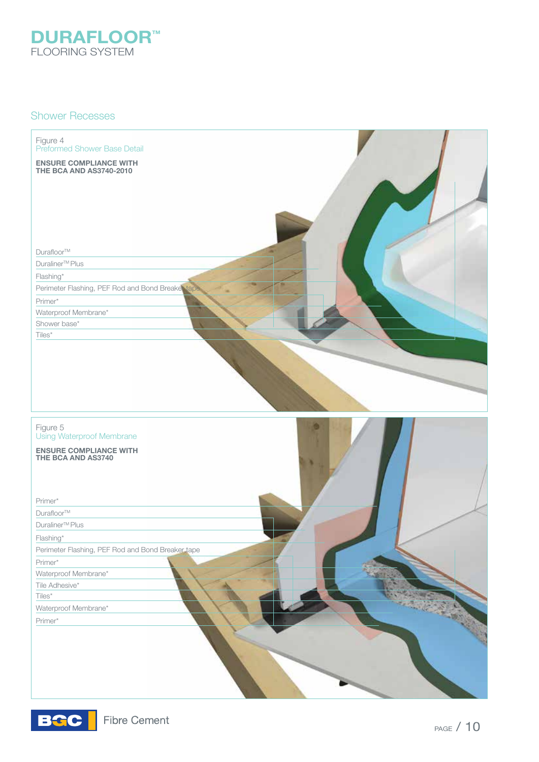

#### Shower Recesses

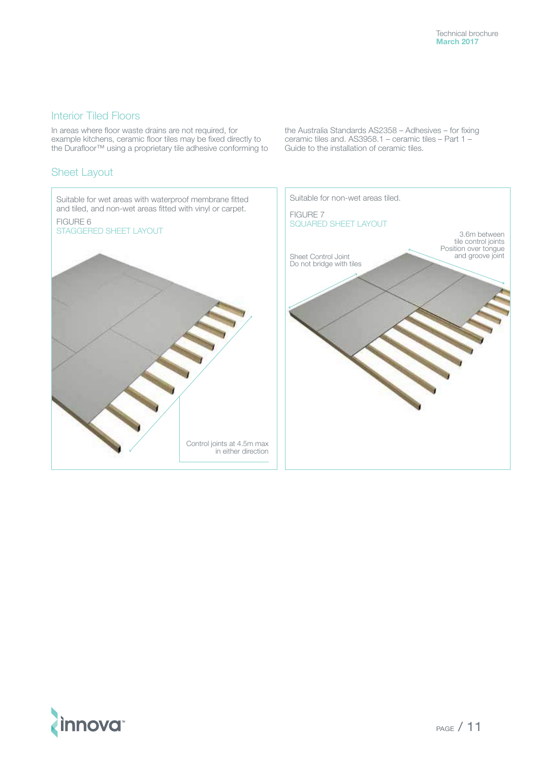## Interior Tiled Floors

In areas where floor waste drains are not required, for example kitchens, ceramic floor tiles may be fixed directly to the Durafloor™ using a proprietary tile adhesive conforming to

## Sheet Layout

the Australia Standards AS2358 – Adhesives – for fixing ceramic tiles and. AS3958.1 – ceramic tiles – Part 1 – Guide to the installation of ceramic tiles.



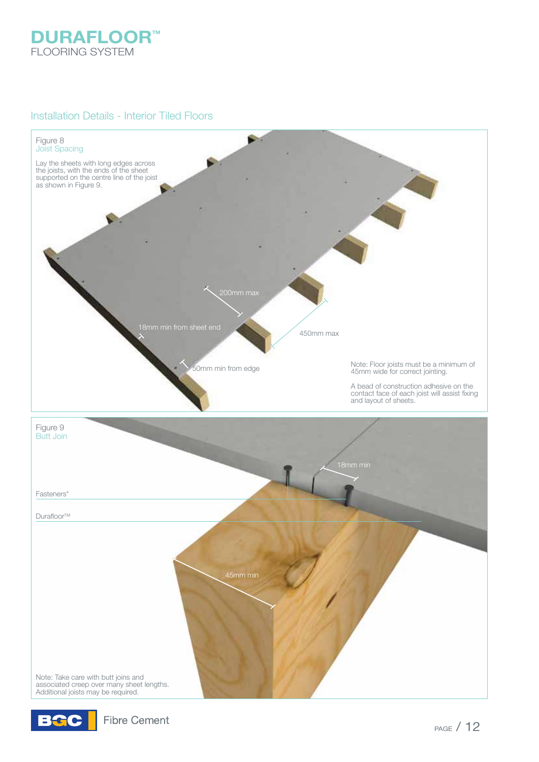

## Installation Details - Interior Tiled Floors



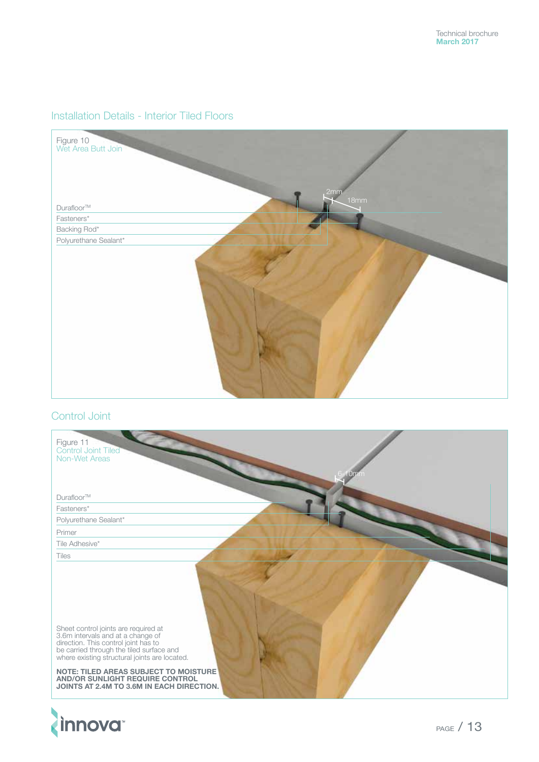# Installation Details - Interior Tiled Floors



# Control Joint

| Figure 11<br>Control Joint Tiled<br>Non-Wet Areas<br><b>Um</b>                                                                                                                                                                                                                                                                          |
|-----------------------------------------------------------------------------------------------------------------------------------------------------------------------------------------------------------------------------------------------------------------------------------------------------------------------------------------|
| Durafloor™                                                                                                                                                                                                                                                                                                                              |
| Fasteners*                                                                                                                                                                                                                                                                                                                              |
| Polyurethane Sealant*                                                                                                                                                                                                                                                                                                                   |
| Primer                                                                                                                                                                                                                                                                                                                                  |
| Tile Adhesive*                                                                                                                                                                                                                                                                                                                          |
| Tiles                                                                                                                                                                                                                                                                                                                                   |
| Sheet control joints are required at<br>3.6m intervals and at a change of<br>direction. This control joint has to<br>be carried through the tiled surface and<br>where existing structural joints are located.<br>NOTE: TILED AREAS SUBJECT TO MOISTURE<br>AND/OR SUNLIGHT REQUIRE CONTROL<br>JOINTS AT 2.4M TO 3.6M IN EACH DIRECTION. |

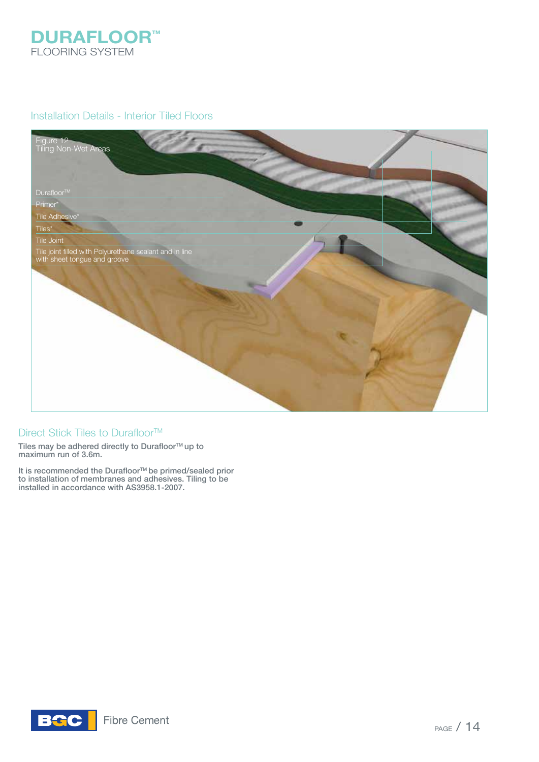

## Installation Details - Interior Tiled Floors



## Direct Stick Tiles to Durafloor<sup>™</sup>

Tiles may be adhered directly to Durafloor $\texttt{TM}$ up to maximum run of 3.6m.

It is recommended the Durafloor™ be primed/sealed prior to installation of membranes and adhesives. Tiling to be installed in accordance with AS3958.1-2007.

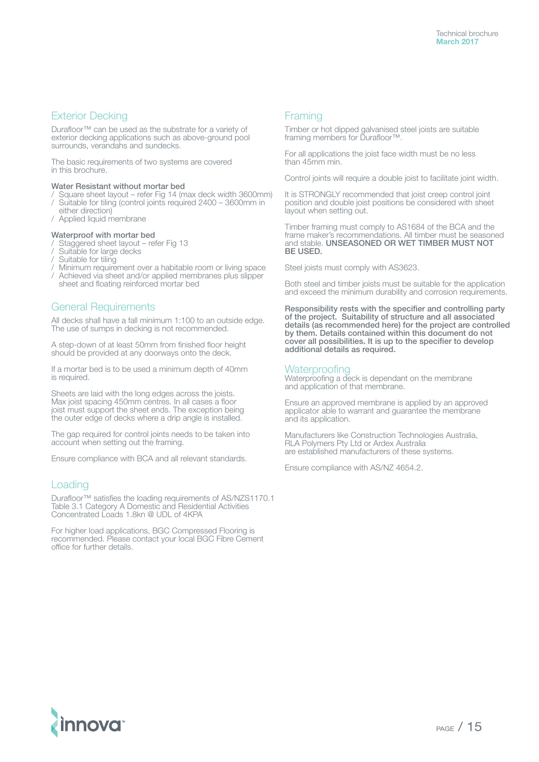#### Exterior Decking

Durafloor™ can be used as the substrate for a variety of exterior decking applications such as above-ground pool surrounds, verandahs and sundecks.

The basic requirements of two systems are covered in this brochure.

#### Water Resistant without mortar bed

- / Square sheet layout refer Fig 14 (max deck width 3600mm)
- Suitable for tiling (control joints required 2400 3600mm in either direction)
- / Applied liquid membrane

#### Waterproof with mortar bed

- Staggered sheet layout refer Fig 13
- Suitable for large decks
- Suitable for tiling
- / Minimum requirement over a habitable room or living space
- / Achieved via sheet and/or applied membranes plus slipper sheet and floating reinforced mortar bed

#### General Requirements

All decks shall have a fall minimum 1:100 to an outside edge. The use of sumps in decking is not recommended.

A step-down of at least 50mm from finished floor height should be provided at any doorways onto the deck.

If a mortar bed is to be used a minimum depth of 40mm is required.

Sheets are laid with the long edges across the joists. Max joist spacing 450mm centres. In all cases a floor joist must support the sheet ends. The exception being the outer edge of decks where a drip angle is installed.

The gap required for control joints needs to be taken into account when setting out the framing.

Ensure compliance with BCA and all relevant standards.

#### Loading

Durafloor™ satisfies the loading requirements of AS/NZS1170.1 Table 3.1 Category A Domestic and Residential Activities Concentrated Loads 1.8kn @ UDL of 4KPA

For higher load applications, BGC Compressed Flooring is recommended. Please contact your local BGC Fibre Cement office for further details.

#### Framing

Timber or hot dipped galvanised steel joists are suitable framing members for Durafloor™.

For all applications the joist face width must be no less than 45mm min.

Control joints will require a double joist to facilitate joint width.

It is STRONGLY recommended that joist creep control joint position and double joist positions be considered with sheet layout when setting out.

Timber framing must comply to AS1684 of the BCA and the frame maker's recommendations. All timber must be seasoned and stable. UNSEASONED OR WET TIMBER MUST NOT BE USED.

Steel joists must comply with AS3623.

Both steel and timber joists must be suitable for the application and exceed the minimum durability and corrosion requirements.

Responsibility rests with the specifier and controlling party of the project. Suitability of structure and all associated details (as recommended here) for the project are controlled by them. Details contained within this document do not cover all possibilities. It is up to the specifier to develop additional details as required.

#### **Waterproofing**

Waterproofing a deck is dependant on the membrane and application of that membrane.

Ensure an approved membrane is applied by an approved applicator able to warrant and guarantee the membrane and its application.

Manufacturers like Construction Technologies Australia, RLA Polymers Pty Ltd or Ardex Australia are established manufacturers of these systems.

Ensure compliance with AS/NZ 4654.2.

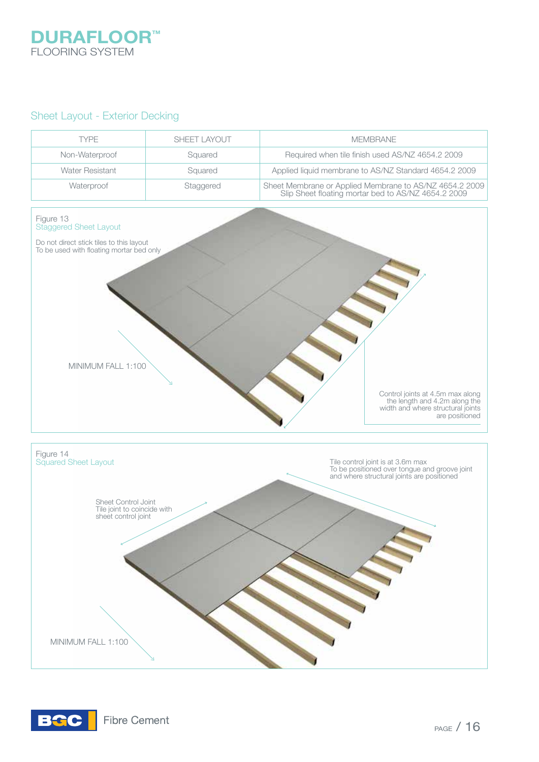# **DURAFLOOR™** FLOORING SYSTEM

## Sheet Layout - Exterior Decking



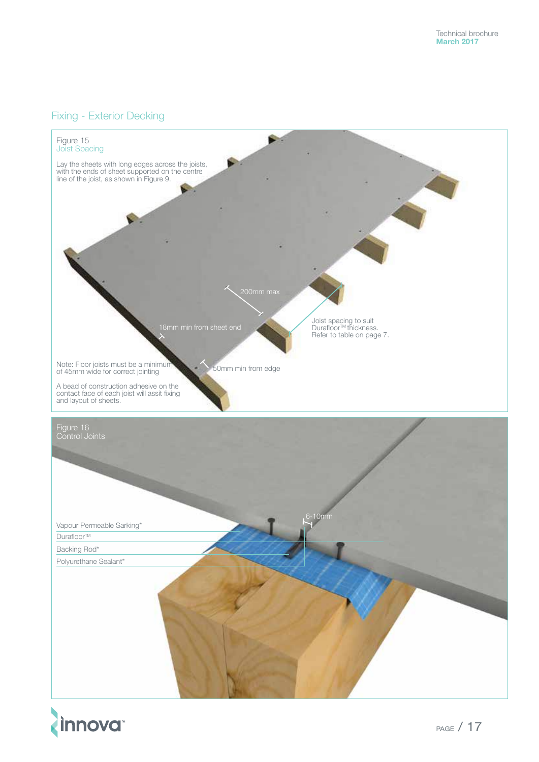## Fixing - Exterior Decking



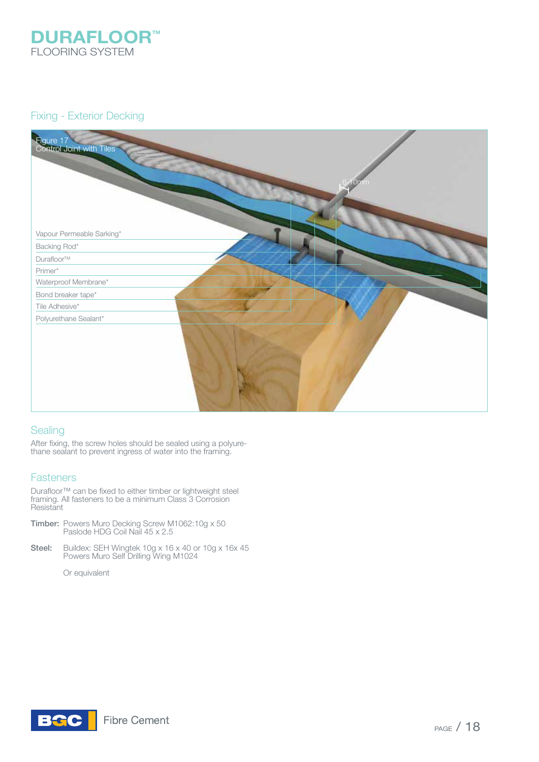

## Fixing - Exterior Decking



### **Sealing**

After fixing, the screw holes should be sealed using a polyurethane sealant to prevent ingress of water into the framing.

### **Fasteners**

Durafloor<sup>™</sup> can be fixed to either timber or lightweight steel framing. All fasteners to be a minimum Class 3 Corrosion **Resistant** 

- Timber: Powers Muro Decking Screw M1062:10g x 50 Paslode HDG Coil Nail 45 x 2.5
- Steel: Buildex: SEH Wingtek 10g x 16 x 40 or 10g x 16x 45 Powers Muro Self Drilling Wing M1024

Or equivalent

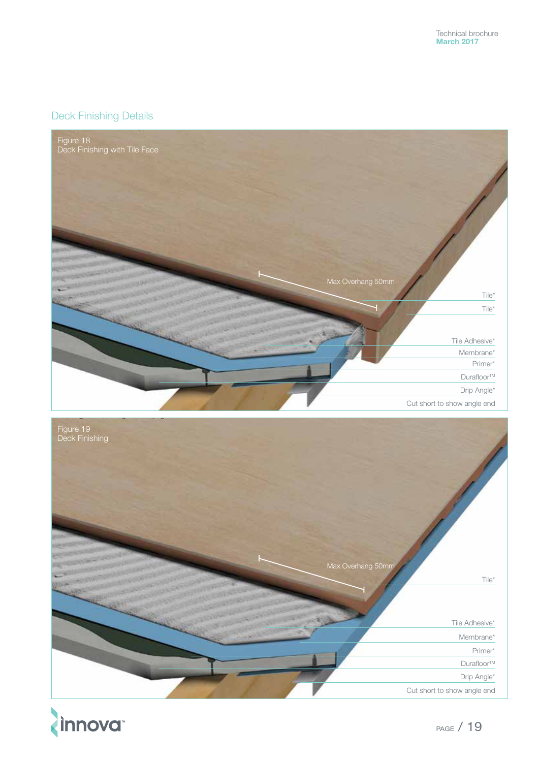# Deck Finishing Details





**innova**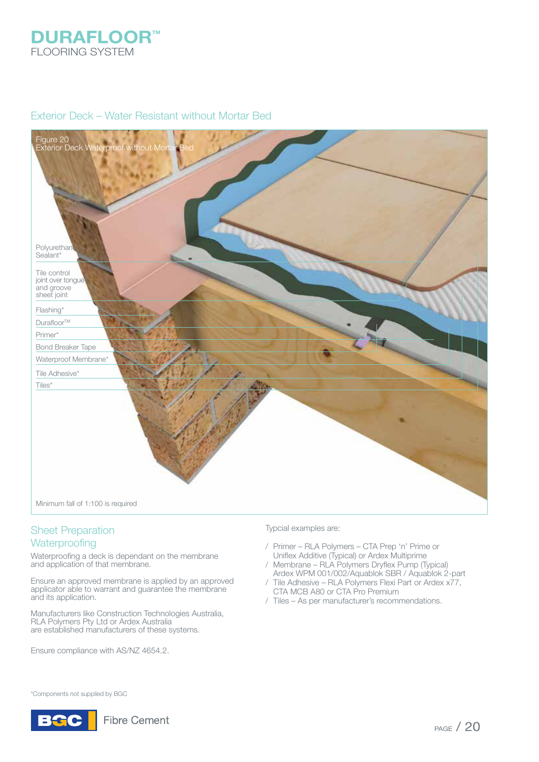

## Exterior Deck – Water Resistant without Mortar Bed



# Sheet Preparation

## **Waterproofing**

Waterproofing a deck is dependant on the membrane and application of that membrane.

Ensure an approved membrane is applied by an approved applicator able to warrant and guarantee the membrane and its application.

Manufacturers like Construction Technologies Australia, RLA Polymers Pty Ltd or Ardex Australia are established manufacturers of these systems.

Ensure compliance with AS/NZ 4654.2.

Typcial examples are:

- / Primer RLA Polymers CTA Prep 'n' Prime or Uniflex Additive (Typical) or Ardex Multiprime
- / Membrane RLA Polymers Dryflex Pump (Typical) Ardex WPM 001/002/Aquablok SBR / Aquablok 2-part
- / Tile Adhesive RLA Polymers Flexi Part or Ardex x77, CTA MCB A80 or CTA Pro Premium
- / Tiles As per manufacturer's recommendations.

\*Components not supplied by BGC

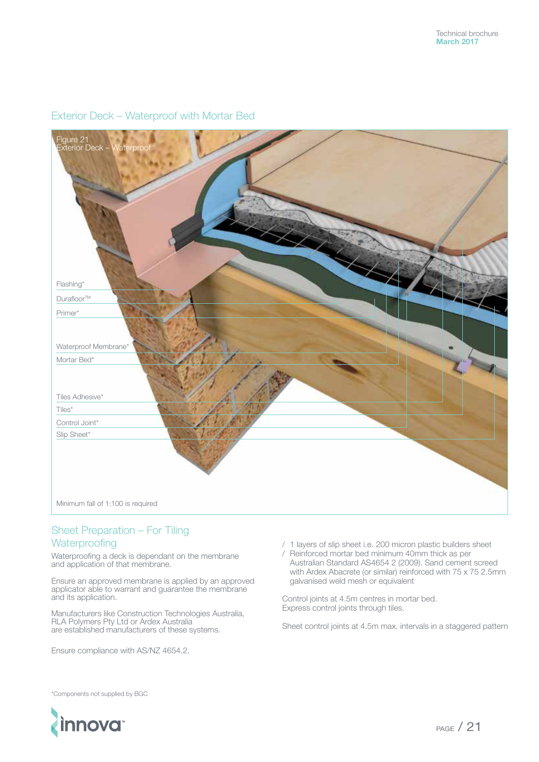

# Exterior Deck – Waterproof with Mortar Bed

## Sheet Preparation – For Tiling **Waterproofing**

Waterproofing a deck is dependant on the membrane and application of that membrane.

Ensure an approved membrane is applied by an approved applicator able to warrant and guarantee the membrane and its application.

Manufacturers like Construction Technologies Australia, RLA Polymers Pty Ltd or Ardex Australia are established manufacturers of these systems.

Ensure compliance with AS/NZ 4654.2.

- / 1 layers of slip sheet i.e. 200 micron plastic builders sheet
- / Reinforced mortar bed minimum 40mm thick as per Australian Standard AS4654 2 (2009). Sand cement screed with Ardex Abacrete (or similar) reinforced with 75 x 75 2.5mm galvanised weld mesh or equivalent

Control joints at 4.5m centres in mortar bed. Express control joints through tiles.

Sheet control joints at 4.5m max. intervals in a staggered pattern

\*Components not supplied by BGC

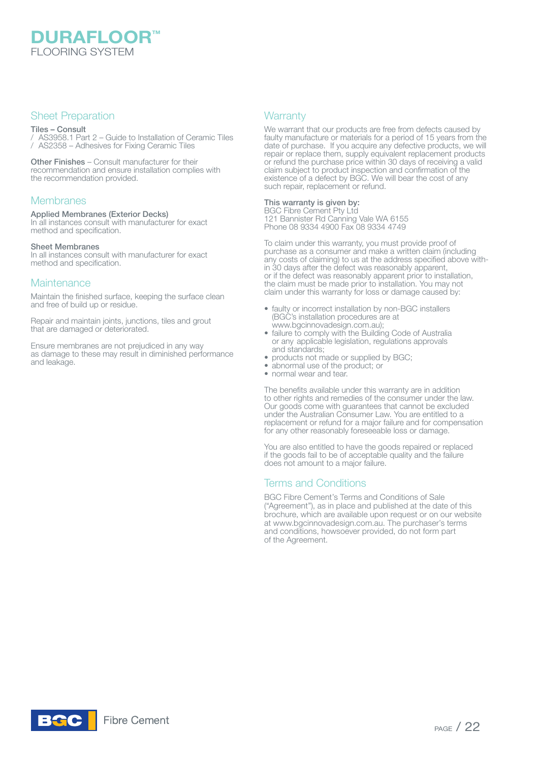**DURAFLOOR**<sup>M</sup> FLOORING SYSTEM

### Sheet Preparation

#### Tiles – Consult

/ AS3958.1 Part 2 – Guide to Installation of Ceramic Tiles / AS2358 – Adhesives for Fixing Ceramic Tiles

Other Finishes – Consult manufacturer for their recommendation and ensure installation complies with the recommendation provided.

#### **Membranes**

#### Applied Membranes (Exterior Decks)

In all instances consult with manufacturer for exact method and specification.

#### Sheet Membranes

In all instances consult with manufacturer for exact method and specification.

#### **Maintenance**

Maintain the finished surface, keeping the surface clean and free of build up or residue.

Repair and maintain joints, junctions, tiles and grout that are damaged or deteriorated.

Ensure membranes are not prejudiced in any way as damage to these may result in diminished performance and leakage.

#### **Warranty**

We warrant that our products are free from defects caused by faulty manufacture or materials for a period of 15 years from the date of purchase. If you acquire any defective products, we will repair or replace them, supply equivalent replacement products or refund the purchase price within 30 days of receiving a valid claim subject to product inspection and confirmation of the existence of a defect by BGC. We will bear the cost of any such repair, replacement or refund.

#### This warranty is given by:

BGC Fibre Cement Pty Ltd 121 Bannister Rd Canning Vale WA 6155 Phone 08 9334 4900 Fax 08 9334 4749

To claim under this warranty, you must provide proof of purchase as a consumer and make a written claim (including any costs of claiming) to us at the address specified above within 30 days after the defect was reasonably apparent, or if the defect was reasonably apparent prior to installation, the claim must be made prior to installation. You may not claim under this warranty for loss or damage caused by:

- faulty or incorrect installation by non-BGC installers (BGC's installation procedures are at www.bgcinnovadesign.com.au);
- failure to comply with the Building Code of Australia or any applicable legislation, regulations approvals and standards;
- products not made or supplied by BGC;
- abnormal use of the product; or
- normal wear and tear.

The benefits available under this warranty are in addition to other rights and remedies of the consumer under the law. Our goods come with guarantees that cannot be excluded under the Australian Consumer Law. You are entitled to a replacement or refund for a major failure and for compensation for any other reasonably foreseeable loss or damage.

You are also entitled to have the goods repaired or replaced if the goods fail to be of acceptable quality and the failure does not amount to a major failure.

### Terms and Conditions

BGC Fibre Cement's Terms and Conditions of Sale ("Agreement"), as in place and published at the date of this brochure, which are available upon request or on our website at www.bgcinnovadesign.com.au. The purchaser's terms and conditions, howsoever provided, do not form part of the Agreement.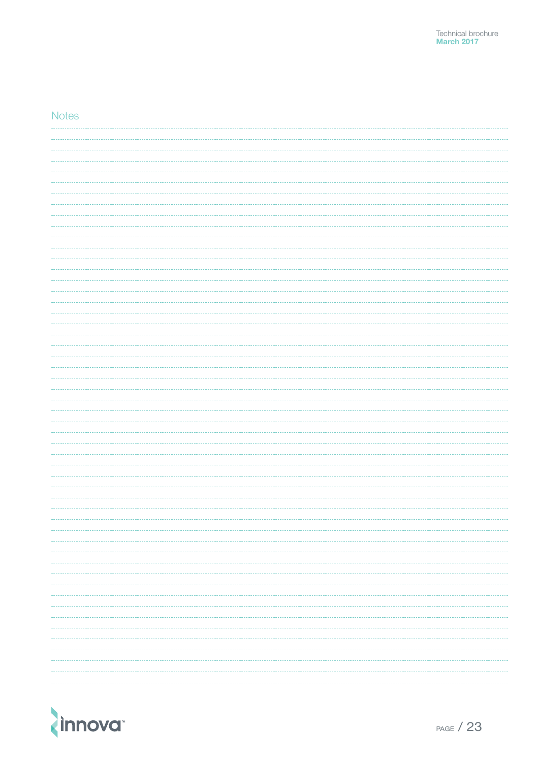### **Notes**